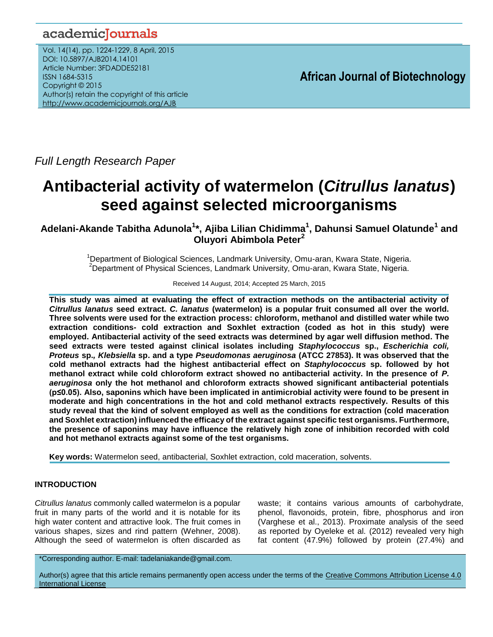# academicJournals

Vol. 14(14), pp. 1224-1229, 8 April, 2015 DOI: 10.5897/AJB2014.14101 Article Number: 3FDADDE52181 ISSN 1684-5315 Copyright © 2015 Author(s) retain the copyright of this article <http://www.academicjournals.org/AJB>

*Full Length Research Paper*

# **Antibacterial activity of watermelon (***Citrullus lanatus***) seed against selected microorganisms**

# **Adelani-Akande Tabitha Adunola<sup>1</sup> \*, Ajiba Lilian Chidimma<sup>1</sup> , Dahunsi Samuel Olatunde<sup>1</sup> and Oluyori Abimbola Peter<sup>2</sup>**

<sup>1</sup>Department of Biological Sciences, Landmark University, Omu-aran, Kwara State, Nigeria. <sup>2</sup>Department of Physical Sciences, Landmark University, Omu-aran, Kwara State, Nigeria.

Received 14 August, 2014; Accepted 25 March, 2015

**This study was aimed at evaluating the effect of extraction methods on the antibacterial activity of**  *Citrullus lanatus* **seed extract.** *C. lanatus* **(watermelon) is a popular fruit consumed all over the world. Three solvents were used for the extraction process: chloroform, methanol and distilled water while two extraction conditions- cold extraction and Soxhlet extraction (coded as hot in this study) were employed. Antibacterial activity of the seed extracts was determined by agar well diffusion method. The seed extracts were tested against clinical isolates including** *Staphylococcus* **sp.,** *Escherichia coli, Proteus* **sp.***, Klebsiella* **sp. and a type** *Pseudomonas aeruginosa* **(ATCC 27853). It was observed that the cold methanol extracts had the highest antibacterial effect on** *Staphylococcus* **sp. followed by hot methanol extract while cold chloroform extract showed no antibacterial activity. In the presence of** *P. aeruginosa* **only the hot methanol and chloroform extracts showed significant antibacterial potentials (p≤0.05). Also, saponins which have been implicated in antimicrobial activity were found to be present in moderate and high concentrations in the hot and cold methanol extracts respectively. Results of this study reveal that the kind of solvent employed as well as the conditions for extraction (cold maceration and Soxhlet extraction) influenced the efficacy of the extract against specific test organisms. Furthermore, the presence of saponins may have influence the relatively high zone of inhibition recorded with cold and hot methanol extracts against some of the test organisms.** 

**Key words:** Watermelon seed, antibacterial, Soxhlet extraction, cold maceration, solvents.

# **INTRODUCTION**

*Citrullus lanatus* commonly called watermelon is a popular fruit in many parts of the world and it is notable for its high water content and attractive look. The fruit comes in various shapes, sizes and rind pattern (Wehner, 2008). Although the seed of watermelon is often discarded as

waste; it contains various amounts of carbohydrate, phenol, flavonoids, protein, fibre, phosphorus and iron (Varghese et al., 2013). Proximate analysis of the seed as reported by Oyeleke et al. (2012) revealed very high fat content (47.9%) followed by protein (27.4%) and

\*Corresponding author. E-mail: tadelaniakande@gmail.com.

Author(s) agree that this article remains permanently open access under the terms of the Creative Commons Attribution License 4.0 [International License](http://creativecommons.org/licenses/by/4.0/deed.en_US)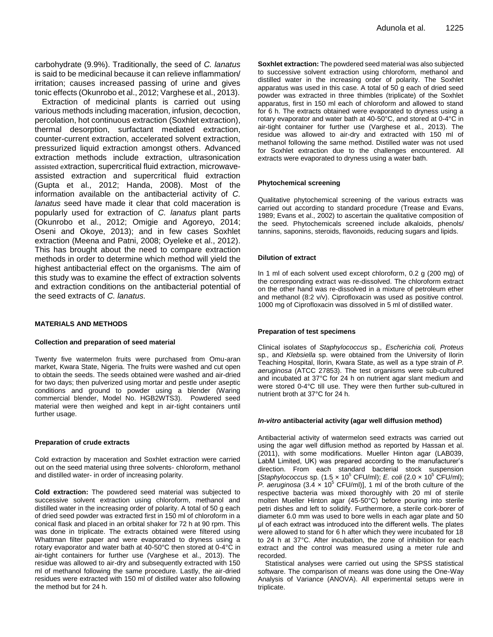carbohydrate (9.9%). Traditionally, the seed of *C. lanatus*  is said to be medicinal because it can relieve inflammation/ irritation; causes increased passing of urine and gives tonic effects (Okunrobo et al., 2012; Varghese et al., 2013).

Extraction of medicinal plants is carried out using various methods including maceration, infusion, decoction, percolation, hot continuous extraction (Soxhlet extraction), thermal desorption, surfactant mediated extraction, counter-current extraction, accelerated solvent extraction, pressurized liquid extraction amongst others. Advanced extraction methods include extraction, ultrasonication assisted extraction, supercritical fluid extraction, microwaveassisted extraction and supercritical fluid extraction (Gupta et al., 2012; Handa, 2008). Most of the information available on the antibacterial activity of *C. lanatus* seed have made it clear that cold maceration is popularly used for extraction of *C. lanatus* plant parts (Okunrobo et al., 2012; Omigie and Agoreyo, 2014; Oseni and Okoye, 2013); and in few cases Soxhlet extraction (Meena and Patni, 2008; Oyeleke et al., 2012). This has brought about the need to compare extraction methods in order to determine which method will yield the highest antibacterial effect on the organisms. The aim of this study was to examine the effect of extraction solvents and extraction conditions on the antibacterial potential of the seed extracts of *C. lanatus.*

## **MATERIALS AND METHODS**

#### **Collection and preparation of seed material**

Twenty five watermelon fruits were purchased from Omu-aran market, Kwara State, Nigeria. The fruits were washed and cut open to obtain the seeds. The seeds obtained were washed and air-dried for two days; then pulverized using mortar and pestle under aseptic conditions and ground to powder using a blender (Waring commercial blender, Model No. HGB2WTS3). Powdered seed material were then weighed and kept in air-tight containers until further usage.

## **Preparation of crude extracts**

Cold extraction by maceration and Soxhlet extraction were carried out on the seed material using three solvents- chloroform, methanol and distilled water- in order of increasing polarity.

**Cold extraction:** The powdered seed material was subjected to successive solvent extraction using chloroform, methanol and distilled water in the increasing order of polarity. A total of 50 g each of dried seed powder was extracted first in 150 ml of chloroform in a conical flask and placed in an orbital shaker for 72 h at 90 rpm. This was done in triplicate. The extracts obtained were filtered using Whattman filter paper and were evaporated to dryness using a rotary evaporator and water bath at 40-50°C then stored at 0-4°C in air-tight containers for further use (Varghese et al., 2013). The residue was allowed to air-dry and subsequently extracted with 150 ml of methanol following the same procedure. Lastly, the air-dried residues were extracted with 150 ml of distilled water also following the method but for 24 h.

**Soxhlet extraction:** The powdered seed material was also subjected to successive solvent extraction using chloroform, methanol and distilled water in the increasing order of polarity. The Soxhlet apparatus was used in this case. A total of 50 g each of dried seed powder was extracted in three thimbles (triplicate) of the Soxhlet apparatus, first in 150 ml each of chloroform and allowed to stand for 6 h. The extracts obtained were evaporated to dryness using a rotary evaporator and water bath at 40-50°C, and stored at 0-4°C in air-tight container for further use (Varghese et al., 2013). The residue was allowed to air-dry and extracted with 150 ml of methanol following the same method. Distilled water was not used for Soxhlet extraction due to the challenges encountered. All extracts were evaporated to dryness using a water bath.

#### **Phytochemical screening**

Qualitative phytochemical screening of the various extracts was carried out according to standard procedure (Trease and Evans, 1989; Evans et al., 2002) to ascertain the qualitative composition of the seed. Phytochemicals screened include alkaloids, phenols/ tannins, saponins, steroids, flavonoids, reducing sugars and lipids.

#### **Dilution of extract**

In 1 ml of each solvent used except chloroform, 0.2 g (200 mg) of the corresponding extract was re-dissolved. The chloroform extract on the other hand was re-dissolved in a mixture of petroleum ether and methanol (8:2 v/v). Ciprofloxacin was used as positive control. 1000 mg of Ciprofloxacin was dissolved in 5 ml of distilled water.

#### **Preparation of test specimens**

Clinical isolates of *Staphylococcus* sp.*, Escherichia coli, Proteus*  sp*.,* and *Klebsiella* sp. were obtained from the University of Ilorin Teaching Hospital, Ilorin, Kwara State, as well as a type strain of *P. aeruginosa* (ATCC 27853). The test organisms were sub-cultured and incubated at 37°C for 24 h on nutrient agar slant medium and were stored 0-4°C till use. They were then further sub-cultured in nutrient broth at 37°C for 24 h.

#### *In-vitro* **antibacterial activity (agar well diffusion method)**

Antibacterial activity of watermelon seed extracts was carried out using the agar well diffusion method as reported by Hassan et al. (2011), with some modifications. Mueller Hinton agar (LAB039, LabM Limited, UK) was prepared according to the manufacturer's direction. From each standard bacterial stock suspension [*Staphylococcus* sp.  $(1.5 \times 10^{5} \text{ CFU/ml})$ ; *E. coli*  $(2.0 \times 10^{5} \text{ CFU/ml})$ ; *P. aeruginosa* (3.4  $\times$  10<sup>5</sup> CFU/ml)], 1 ml of the broth culture of the respective bacteria was mixed thoroughly with 20 ml of sterile molten Mueller Hinton agar (45-50°C) before pouring into sterile petri dishes and left to solidify. Furthermore, a sterile cork-borer of diameter 6.0 mm was used to bore wells in each agar plate and 50 μl of each extract was introduced into the different wells. The plates were allowed to stand for 6 h after which they were incubated for 18 to 24 h at 37°C. After incubation, the zone of inhibition for each extract and the control was measured using a meter rule and recorded.

Statistical analyses were carried out using the SPSS statistical software. The comparison of means was done using the One-Way Analysis of Variance (ANOVA). All experimental setups were in triplicate.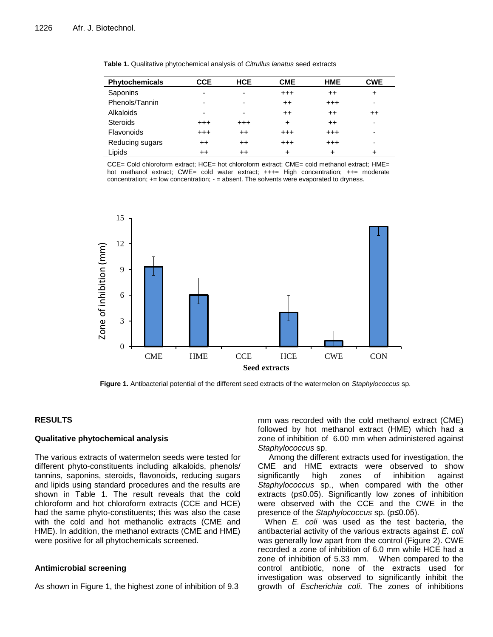| <b>Phytochemicals</b> | <b>CCE</b>               | <b>HCE</b>               | <b>CME</b>      | <b>HME</b>      | <b>CWE</b>               |
|-----------------------|--------------------------|--------------------------|-----------------|-----------------|--------------------------|
| Saponins              | $\overline{\phantom{0}}$ |                          | $^{+++}$        | $^{\mathrm{+}}$ | +                        |
| Phenols/Tannin        | $\overline{\phantom{0}}$ | $\overline{\phantom{0}}$ | $^{\mathrm{+}}$ | $+ + +$         | $\overline{\phantom{0}}$ |
| Alkaloids             | $\overline{\phantom{0}}$ |                          | $^{\mathrm{+}}$ | $^{++}$         | $^{++}$                  |
| <b>Steroids</b>       | $^{+++}$                 | $^{++}$                  | $\div$          | $++$            | -                        |
| Flavonoids            | $^{++}$                  | $^{++}$                  | $^{++}$         | $+ + +$         | -                        |
| Reducing sugars       | $^{\mathrm{+}}$          | $^{\mathrm{+}}$          | $^{+++}$        | $+ + +$         | -                        |
| Lipids                | $^{\mathrm{+}}$          | $^{\mathrm{+}}$          | $\ddot{}$       | ÷               |                          |

**Table 1.** Qualitative phytochemical analysis of *Citrullus lanatus* seed extracts

CCE= Cold chloroform extract; HCE= hot chloroform extract; CME= cold methanol extract; HME= hot methanol extract; CWE= cold water extract; +++= High concentration; ++= moderate  $concentration$ ;  $+=$  low concentration;  $-$  = absent. The solvents were evaporated to dryness.



**Figure 1.** Antibacterial potential of the different seed extracts of the watermelon on *Staphylococcus* sp.

# **RESULTS**

## **Qualitative phytochemical analysis**

The various extracts of watermelon seeds were tested for different phyto-constituents including alkaloids, phenols/ tannins, saponins, steroids, flavonoids, reducing sugars and lipids using standard procedures and the results are shown in Table 1. The result reveals that the cold chloroform and hot chloroform extracts (CCE and HCE) had the same phyto-constituents; this was also the case with the cold and hot methanolic extracts (CME and HME). In addition, the methanol extracts (CME and HME) were positive for all phytochemicals screened.

# **Antimicrobial screening**

As shown in Figure 1, the highest zone of inhibition of 9.3

mm was recorded with the cold methanol extract (CME) followed by hot methanol extract (HME) which had a zone of inhibition of 6.00 mm when administered against *Staphylococcus* sp.

Among the different extracts used for investigation, the CME and HME extracts were observed to show significantly high zones of inhibition against *Staphylococcus* sp., when compared with the other extracts (p≤0.05). Significantly low zones of inhibition were observed with the CCE and the CWE in the presence of the *Staphylococcus* sp. (p≤0.05).

When *E. coli* was used as the test bacteria, the antibacterial activity of the various extracts against *E. coli* was generally low apart from the control (Figure 2). CWE recorded a zone of inhibition of 6.0 mm while HCE had a zone of inhibition of 5.33 mm. When compared to the control antibiotic, none of the extracts used for investigation was observed to significantly inhibit the growth of *Escherichia coli*. The zones of inhibitions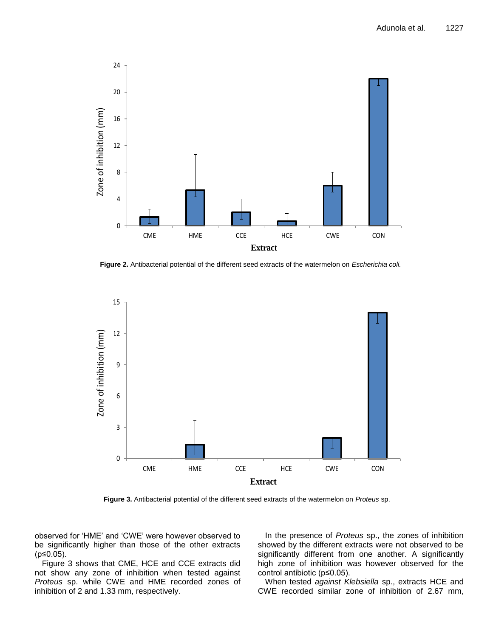

**Figure 2.** Antibacterial potential of the different seed extracts of the watermelon on *Escherichia coli.*



**Figure 3.** Antibacterial potential of the different seed extracts of the watermelon on *Proteus* sp.

observed for 'HME' and 'CWE' were however observed to be significantly higher than those of the other extracts (p≤0.05).

Figure 3 shows that CME, HCE and CCE extracts did not show any zone of inhibition when tested against *Proteus* sp. while CWE and HME recorded zones of inhibition of 2 and 1.33 mm, respectively.

In the presence of *Proteus* sp., the zones of inhibition showed by the different extracts were not observed to be significantly different from one another. A significantly high zone of inhibition was however observed for the control antibiotic (p≤0.05).

When tested *against Klebsiella* sp., extracts HCE and CWE recorded similar zone of inhibition of 2.67 mm,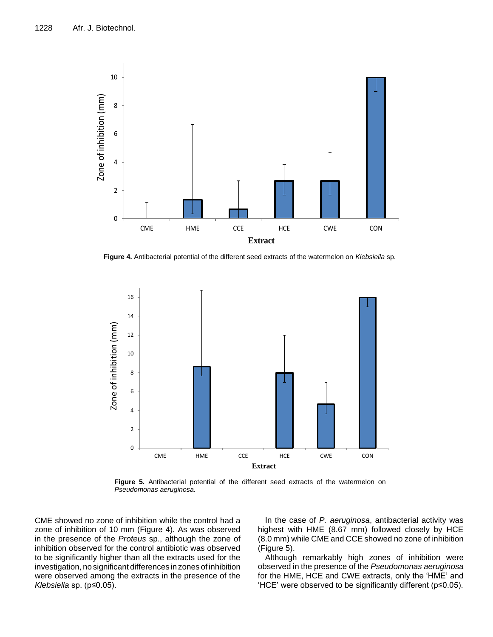

**Figure 4.** Antibacterial potential of the different seed extracts of the watermelon on *Klebsiella* sp.



**Figure 5.** Antibacterial potential of the different seed extracts of the watermelon on *Pseudomonas aeruginosa.*

CME showed no zone of inhibition while the control had a zone of inhibition of 10 mm (Figure 4). As was observed in the presence of the *Proteus* sp., although the zone of inhibition observed for the control antibiotic was observed to be significantly higher than all the extracts used for the investigation, no significant differences in zones of inhibition were observed among the extracts in the presence of the *Klebsiella* sp. (p≤0.05).

In the case of *P. aeruginosa*, antibacterial activity was highest with HME (8.67 mm) followed closely by HCE (8.0 mm) while CME and CCE showed no zone of inhibition (Figure 5).

Although remarkably high zones of inhibition were observed in the presence of the *Pseudomonas aeruginosa*  for the HME, HCE and CWE extracts, only the 'HME' and 'HCE' were observed to be significantly different (p≤0.05).